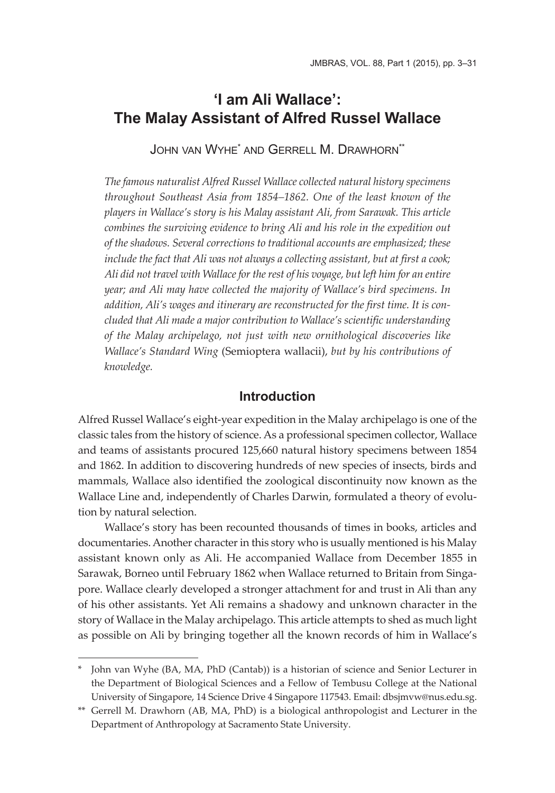# **'I am Ali Wallace': The Malay Assistant of Alfred Russel Wallace**

JOHN VAN WYHE<sup>\*</sup> AND GERRELL M. DRAWHORN<sup>\*\*</sup>

*The famous naturalist Alfred Russel Wallace collected natural history specimens throughout Southeast Asia from 1854–1862. One of the least known of the players in Wallace's story is his Malay assistant Ali, from Sarawak. This article combines the surviving evidence to bring Ali and his role in the expedition out of the shadows. Several corrections to traditional accounts are emphasized; these include the fact that Ali was not always a collecting assistant, but at first a cook; Ali did not travel with Wallace for the rest of his voyage, but left him for an entire year; and Ali may have collected the majority of Wallace's bird specimens. In addition, Ali's wages and itinerary are reconstructed for the first time. It is concluded that Ali made a major contribution to Wallace's scientific understanding of the Malay archipelago, not just with new ornithological discoveries like Wallace's Standard Wing* (Semioptera wallacii), *but by his contributions of knowledge.*

### **Introduction**

Alfred Russel Wallace's eight-year expedition in the Malay archipelago is one of the classic tales from the history of science. As a professional specimen collector, Wallace and teams of assistants procured 125,660 natural history specimens between 1854 and 1862. In addition to discovering hundreds of new species of insects, birds and mammals, Wallace also identified the zoological discontinuity now known as the Wallace Line and, independently of Charles Darwin, formulated a theory of evolution by natural selection.

Wallace's story has been recounted thousands of times in books, articles and documentaries. Another character in this story who is usually mentioned is his Malay assistant known only as Ali. He accompanied Wallace from December 1855 in Sarawak, Borneo until February 1862 when Wallace returned to Britain from Singapore. Wallace clearly developed a stronger attachment for and trust in Ali than any of his other assistants. Yet Ali remains a shadowy and unknown character in the story of Wallace in the Malay archipelago. This article attempts to shed as much light as possible on Ali by bringing together all the known records of him in Wallace's

<sup>\*</sup> John van Wyhe (BA, MA, PhD (Cantab)) is a historian of science and Senior Lecturer in the Department of Biological Sciences and a Fellow of Tembusu College at the National University of Singapore, 14 Science Drive 4 Singapore 117543. Email: dbsjmvw@nus.edu.sg.

<sup>\*\*</sup> Gerrell M. Drawhorn (AB, MA, PhD) is a biological anthropologist and Lecturer in the Department of Anthropology at Sacramento State University.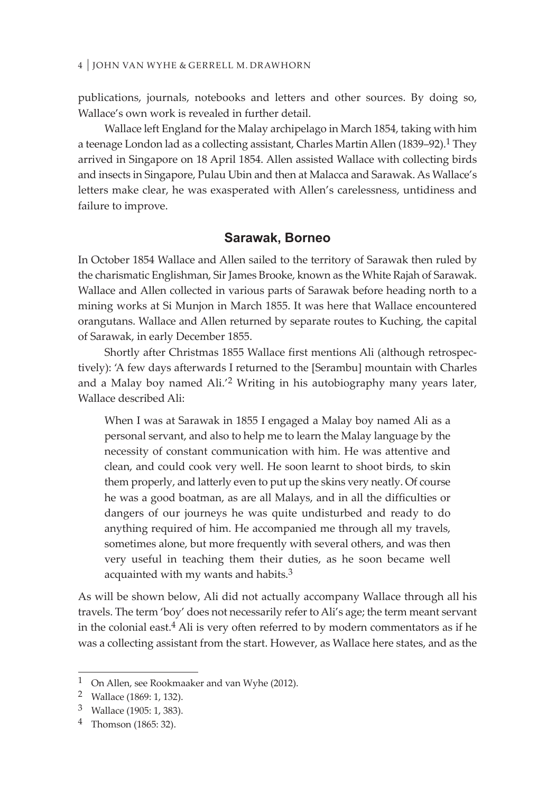publications, journals, notebooks and letters and other sources. By doing so, Wallace's own work is revealed in further detail.

Wallace left England for the Malay archipelago in March 1854, taking with him a teenage London lad as a collecting assistant, Charles Martin Allen  $(1839–92).<sup>1</sup>$  They arrived in Singapore on 18 April 1854. Allen assisted Wallace with collecting birds and insects in Singapore, Pulau Ubin and then at Malacca and Sarawak. As Wallace's letters make clear, he was exasperated with Allen's carelessness, untidiness and failure to improve.

### **Sarawak, Borneo**

In October 1854 Wallace and Allen sailed to the territory of Sarawak then ruled by the charismatic Englishman, Sir James Brooke, known as the White Rajah of Sarawak. Wallace and Allen collected in various parts of Sarawak before heading north to a mining works at Si Munjon in March 1855. It was here that Wallace encountered orangutans. Wallace and Allen returned by separate routes to Kuching, the capital of Sarawak, in early December 1855.

Shortly after Christmas 1855 Wallace first mentions Ali (although retrospectively): 'A few days afterwards I returned to the [Serambu] mountain with Charles and a Malay boy named Ali.'<sup>2</sup> Writing in his autobiography many years later, Wallace described Ali:

When I was at Sarawak in 1855 I engaged a Malay boy named Ali as a personal servant, and also to help me to learn the Malay language by the necessity of constant communication with him. He was attentive and clean, and could cook very well. He soon learnt to shoot birds, to skin them properly, and latterly even to put up the skins very neatly. Of course he was a good boatman, as are all Malays, and in all the difficulties or dangers of our journeys he was quite undisturbed and ready to do anything required of him. He accompanied me through all my travels, sometimes alone, but more frequently with several others, and was then very useful in teaching them their duties, as he soon became well acquainted with my wants and habits.3

As will be shown below, Ali did not actually accompany Wallace through all his travels. The term 'boy' does not necessarily refer to Ali's age; the term meant servant in the colonial east.4 Ali is very often referred to by modern commentators as if he was a collecting assistant from the start. However, as Wallace here states, and as the

<sup>1</sup> On Allen, see Rookmaaker and van Wyhe (2012).

<sup>2</sup> Wallace (1869: 1, 132).

<sup>3</sup> Wallace (1905: 1, 383).

<sup>4</sup> Thomson (1865: 32).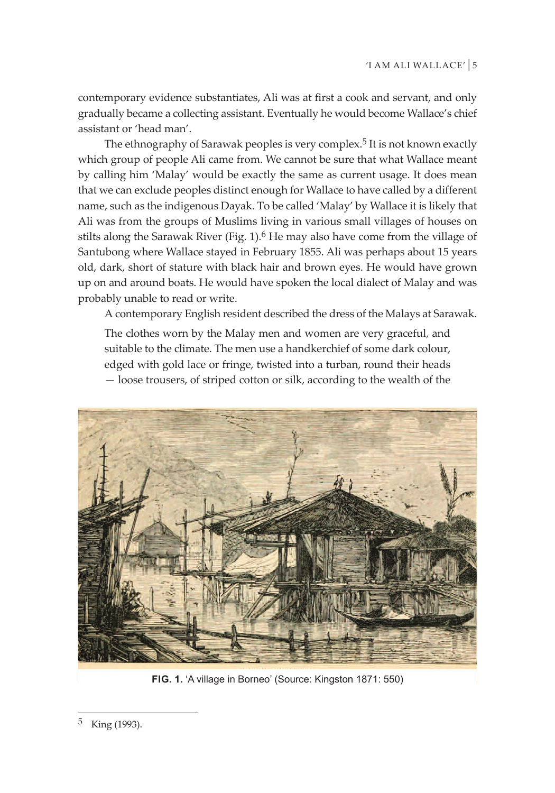contemporary evidence substantiates, Ali was at first a cook and servant, and only gradually became a collecting assistant. Eventually he would become Wallace's chief assistant or 'head man'.

The ethnography of Sarawak peoples is very complex.<sup>5</sup> It is not known exactly which group of people Ali came from. We cannot be sure that what Wallace meant by calling him 'Malay' would be exactly the same as current usage. It does mean that we can exclude peoples distinct enough for Wallace to have called by a different name, such as the indigenous Dayak. To be called 'Malay' by Wallace it is likely that Ali was from the groups of Muslims living in various small villages of houses on stilts along the Sarawak River (Fig.  $1$ ).<sup>6</sup> He may also have come from the village of Santubong where Wallace stayed in February 1855. Ali was perhaps about 15 years old, dark, short of stature with black hair and brown eyes. He would have grown up on and around boats. He would have spoken the local dialect of Malay and was probably unable to read or write.

A contemporary English resident described the dress of the Malays at Sarawak.

The clothes worn by the Malay men and women are very graceful, and suitable to the climate. The men use a handkerchief of some dark colour, edged with gold lace or fringe, twisted into a turban, round their heads — loose trousers, of striped cotton or silk, according to the wealth of the



**FIg. 1.** 'A village in Borneo' (Source: Kingston 1871: 550)

<sup>5</sup> King (1993).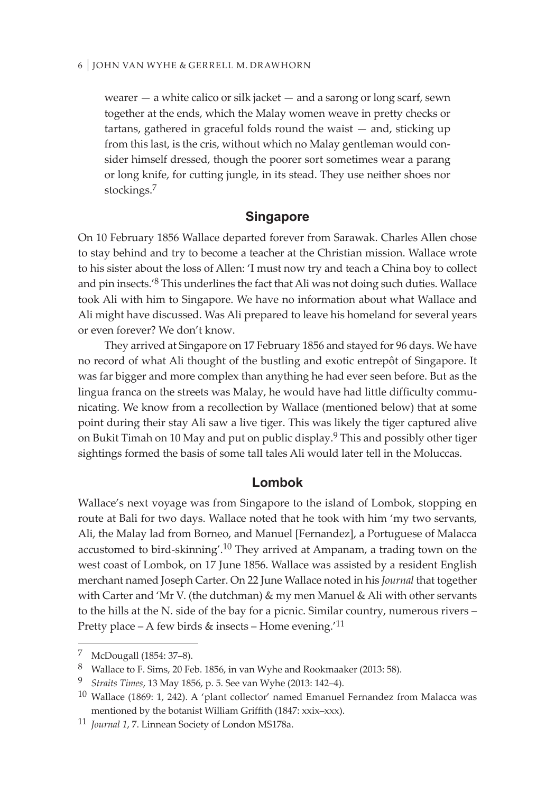wearer — a white calico or silk jacket — and a sarong or long scarf, sewn together at the ends, which the Malay women weave in pretty checks or tartans, gathered in graceful folds round the waist — and, sticking up from this last, is the cris, without which no Malay gentleman would consider himself dressed, though the poorer sort sometimes wear a parang or long knife, for cutting jungle, in its stead. They use neither shoes nor stockings.7

### **Singapore**

On 10 February 1856 Wallace departed forever from Sarawak. Charles Allen chose to stay behind and try to become a teacher at the Christian mission. Wallace wrote to his sister about the loss of Allen: 'I must now try and teach a China boy to collect and pin insects.'8 This underlines the fact that Ali was not doing such duties. Wallace took Ali with him to Singapore. We have no information about what Wallace and Ali might have discussed. Was Ali prepared to leave his homeland for several years or even forever? We don't know.

They arrived at Singapore on 17 February 1856 and stayed for 96 days. We have no record of what Ali thought of the bustling and exotic entrepôt of Singapore. It was far bigger and more complex than anything he had ever seen before. But as the lingua franca on the streets was Malay, he would have had little difficulty communicating. We know from a recollection by Wallace (mentioned below) that at some point during their stay Ali saw a live tiger. This was likely the tiger captured alive on Bukit Timah on 10 May and put on public display.<sup>9</sup> This and possibly other tiger sightings formed the basis of some tall tales Ali would later tell in the Moluccas.

### **Lombok**

Wallace's next voyage was from Singapore to the island of Lombok, stopping en route at Bali for two days. Wallace noted that he took with him 'my two servants, Ali, the Malay lad from Borneo, and Manuel [Fernandez], a Portuguese of Malacca accustomed to bird-skinning'.10 They arrived at Ampanam, a trading town on the west coast of Lombok, on 17 June 1856. Wallace was assisted by a resident English merchant named Joseph Carter. On 22 June Wallace noted in his *Journal* that together with Carter and 'Mr V. (the dutchman) & my men Manuel & Ali with other servants to the hills at the N. side of the bay for a picnic. Similar country, numerous rivers – Pretty place – A few birds  $\&$  insects – Home evening.<sup>'11</sup>

<sup>7</sup> McDougall (1854: 37–8).

<sup>8</sup> Wallace to F. Sims, 20 Feb. 1856, in van Wyhe and Rookmaaker (2013: 58).

<sup>9</sup> *Straits Times*, 13 May 1856, p. 5. See van Wyhe (2013: 142–4).

 $10$  Wallace (1869: 1, 242). A 'plant collector' named Emanuel Fernandez from Malacca was mentioned by the botanist William Griffith (1847: xxix–xxx).

<sup>11</sup> *Journal 1*, 7. Linnean Society of London MS178a.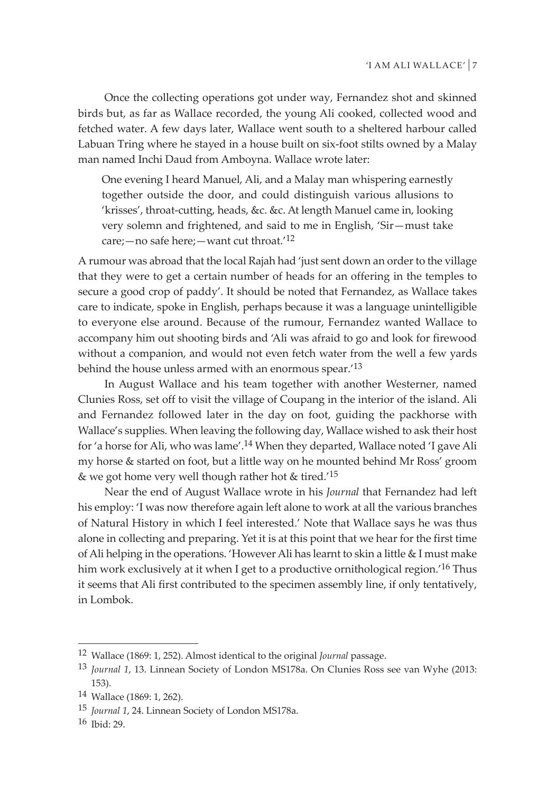Once the collecting operations got under way, Fernandez shot and skinned birds but, as far as Wallace recorded, the young Ali cooked, collected wood and fetched water. A few days later, Wallace went south to a sheltered harbour called Labuan Tring where he stayed in a house built on six-foot stilts owned by a Malay man named Inchi Daud from Amboyna. Wallace wrote later:

One evening I heard Manuel, Ali, and a Malay man whispering earnestly together outside the door, and could distinguish various allusions to 'krisses', throat-cutting, heads, &c. &c. At length Manuel came in, looking very solemn and frightened, and said to me in English, 'Sir—must take care;—no safe here;—want cut throat.<sup>'12</sup>

A rumour was abroad that the local Rajah had 'just sent down an order to the village that they were to get a certain number of heads for an offering in the temples to secure a good crop of paddy'. It should be noted that Fernandez, as Wallace takes care to indicate, spoke in English, perhaps because it was a language unintelligible to everyone else around. Because of the rumour, Fernandez wanted Wallace to accompany him out shooting birds and 'Ali was afraid to go and look for firewood without a companion, and would not even fetch water from the well a few yards behind the house unless armed with an enormous spear.<sup>'13</sup>

In August Wallace and his team together with another Westerner, named Clunies Ross, set off to visit the village of Coupang in the interior of the island. Ali and Fernandez followed later in the day on foot, guiding the packhorse with Wallace's supplies. When leaving the following day, Wallace wished to ask their host for 'a horse for Ali, who was lame'.14 When they departed, Wallace noted 'I gave Ali my horse & started on foot, but a little way on he mounted behind Mr Ross' groom & we got home very well though rather hot & tired.<sup>'15</sup>

Near the end of August Wallace wrote in his *Journal* that Fernandez had left his employ: 'I was now therefore again left alone to work at all the various branches of Natural History in which I feel interested.' Note that Wallace says he was thus alone in collecting and preparing. Yet it is at this point that we hear for the first time of Ali helping in the operations. 'However Ali has learnt to skin a little & I must make him work exclusively at it when I get to a productive ornithological region.<sup>'16</sup> Thus it seems that Ali first contributed to the specimen assembly line, if only tentatively, in Lombok.

<sup>12</sup> Wallace (1869: 1, 252). Almost identical to the original *Journal* passage.

<sup>13</sup> *Journal 1*, 13. Linnean Society of London MS178a. On Clunies Ross see van Wyhe (2013: 153).

<sup>14</sup> Wallace (1869: 1, 262).

<sup>15</sup> *Journal 1*, 24. Linnean Society of London MS178a.

 $16$  Ibid: 29.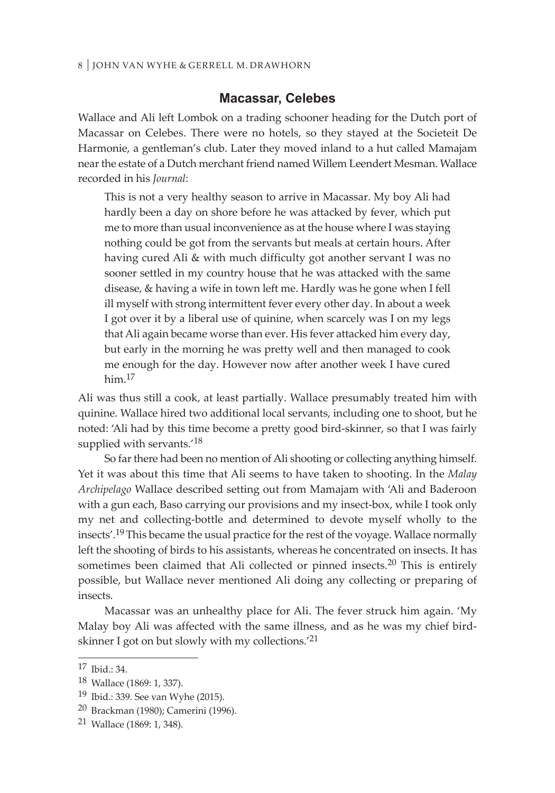### **Macassar, Celebes**

Wallace and Ali left Lombok on a trading schooner heading for the Dutch port of Macassar on Celebes. There were no hotels, so they stayed at the Societeit De Harmonie, a gentleman's club. Later they moved inland to a hut called Mamajam near the estate of a Dutch merchant friend named Willem Leendert Mesman. Wallace recorded in his *Journal*:

This is not a very healthy season to arrive in Macassar. My boy Ali had hardly been a day on shore before he was attacked by fever, which put me to more than usual inconvenience as at the house where I was staying nothing could be got from the servants but meals at certain hours. After having cured Ali & with much difficulty got another servant I was no sooner settled in my country house that he was attacked with the same disease, & having a wife in town left me. Hardly was he gone when I fell ill myself with strong intermittent fever every other day. In about a week I got over it by a liberal use of quinine, when scarcely was I on my legs that Ali again became worse than ever. His fever attacked him every day, but early in the morning he was pretty well and then managed to cook me enough for the day. However now after another week I have cured him.17

Ali was thus still a cook, at least partially. Wallace presumably treated him with quinine. Wallace hired two additional local servants, including one to shoot, but he noted: 'Ali had by this time become a pretty good bird-skinner, so that I was fairly supplied with servants.'<sup>18</sup>

So far there had been no mention of Ali shooting or collecting anything himself. Yet it was about this time that Ali seems to have taken to shooting. In the *Malay Archipelago* Wallace described setting out from Mamajam with 'Ali and Baderoon with a gun each, Baso carrying our provisions and my insect-box, while I took only my net and collecting-bottle and determined to devote myself wholly to the insects'.19 This became the usual practice for the rest of the voyage. Wallace normally left the shooting of birds to his assistants, whereas he concentrated on insects. It has sometimes been claimed that Ali collected or pinned insects.<sup>20</sup> This is entirely possible, but Wallace never mentioned Ali doing any collecting or preparing of insects.

Macassar was an unhealthy place for Ali. The fever struck him again. 'My Malay boy Ali was affected with the same illness, and as he was my chief birdskinner I got on but slowly with my collections.'21

<sup>17</sup> Ibid.: 34.

<sup>18</sup> Wallace (1869: 1, 337).

<sup>19</sup> Ibid.: 339. See van Wyhe (2015).

<sup>20</sup> Brackman (1980); Camerini (1996).

<sup>21</sup> Wallace (1869: 1, 348).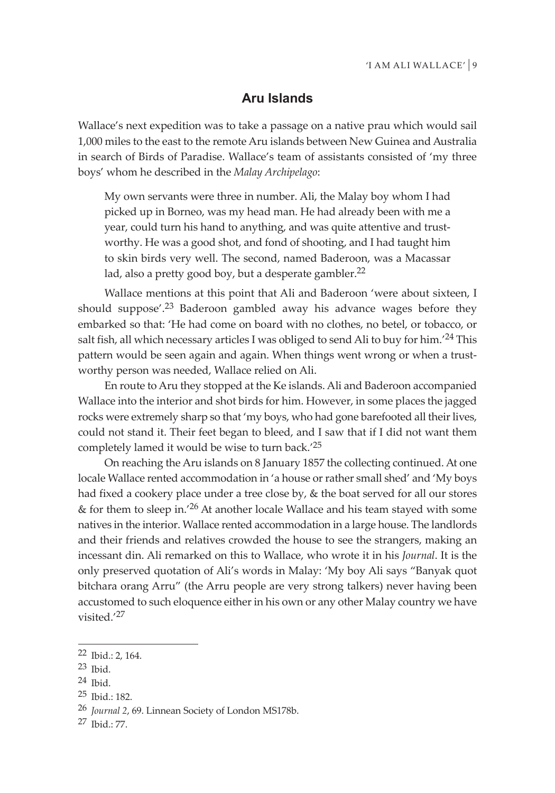# **Aru Islands**

Wallace's next expedition was to take a passage on a native prau which would sail 1,000 miles to the east to the remote Aru islands between New Guinea and Australia in search of Birds of Paradise. Wallace's team of assistants consisted of 'my three boys' whom he described in the *Malay Archipelago*:

My own servants were three in number. Ali, the Malay boy whom I had picked up in Borneo, was my head man. He had already been with me a year, could turn his hand to anything, and was quite attentive and trustworthy. He was a good shot, and fond of shooting, and I had taught him to skin birds very well. The second, named Baderoon, was a Macassar lad, also a pretty good boy, but a desperate gambler.<sup>22</sup>

Wallace mentions at this point that Ali and Baderoon 'were about sixteen, I should suppose'.<sup>23</sup> Baderoon gambled away his advance wages before they embarked so that: 'He had come on board with no clothes, no betel, or tobacco, or salt fish, all which necessary articles I was obliged to send Ali to buy for him.<sup>'24</sup> This pattern would be seen again and again. When things went wrong or when a trustworthy person was needed, Wallace relied on Ali.

En route to Aru they stopped at the Ke islands. Ali and Baderoon accompanied Wallace into the interior and shot birds for him. However, in some places the jagged rocks were extremely sharp so that 'my boys, who had gone barefooted all their lives, could not stand it. Their feet began to bleed, and I saw that if I did not want them completely lamed it would be wise to turn back.'25

On reaching the Aru islands on 8 January 1857 the collecting continued. At one locale Wallace rented accommodation in 'a house or rather small shed' and 'My boys had fixed a cookery place under a tree close by, & the boat served for all our stores  $\&$  for them to sleep in.<sup>'26</sup> At another locale Wallace and his team stayed with some natives in the interior. Wallace rented accommodation in a large house. The landlords and their friends and relatives crowded the house to see the strangers, making an incessant din. Ali remarked on this to Wallace, who wrote it in his *Journal*. It is the only preserved quotation of Ali's words in Malay: 'My boy Ali says "Banyak quot bitchara orang Arru" (the Arru people are very strong talkers) never having been accustomed to such eloquence either in his own or any other Malay country we have visited.'27

<sup>22</sup> Ibid.: 2, 164.

 $23$  Ibid.

 $24$  Ibid.

<sup>25</sup> Ibid.: 182.

<sup>26</sup> *Journal 2*, 69. Linnean Society of London MS178b.

 $27$  Ibid.: 77.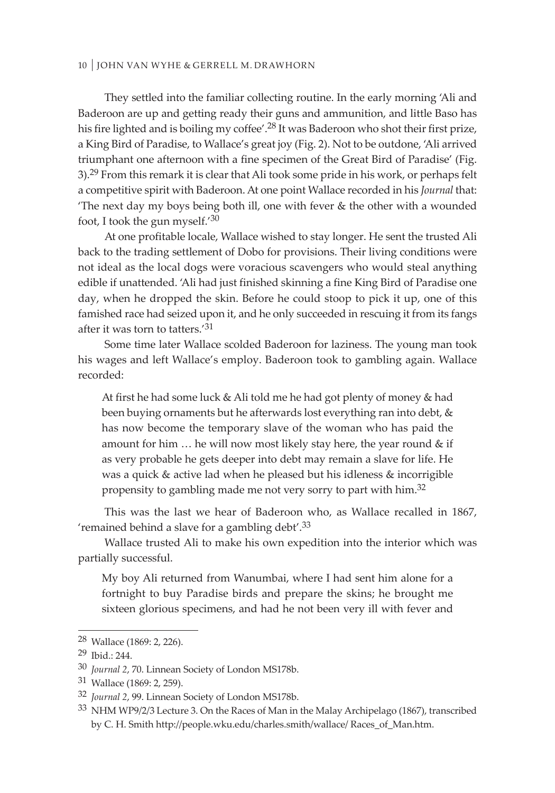They settled into the familiar collecting routine. In the early morning 'Ali and Baderoon are up and getting ready their guns and ammunition, and little Baso has his fire lighted and is boiling my coffee'.<sup>28</sup> It was Baderoon who shot their first prize, a King Bird of Paradise, to Wallace's great joy (Fig. 2). Not to be outdone, 'Ali arrived triumphant one afternoon with a fine specimen of the Great Bird of Paradise' (Fig. 3).<sup>29</sup> From this remark it is clear that Ali took some pride in his work, or perhaps felt a competitive spirit with Baderoon. At one point Wallace recorded in his *Journal* that: 'The next day my boys being both ill, one with fever & the other with a wounded foot, I took the gun myself.'30

At one profitable locale, Wallace wished to stay longer. He sent the trusted Ali back to the trading settlement of Dobo for provisions. Their living conditions were not ideal as the local dogs were voracious scavengers who would steal anything edible if unattended. 'Ali had just finished skinning a fine King Bird of Paradise one day, when he dropped the skin. Before he could stoop to pick it up, one of this famished race had seized upon it, and he only succeeded in rescuing it from its fangs after it was torn to tatters.'31

Some time later Wallace scolded Baderoon for laziness. The young man took his wages and left Wallace's employ. Baderoon took to gambling again. Wallace recorded:

At first he had some luck & Ali told me he had got plenty of money & had been buying ornaments but he afterwards lost everything ran into debt, & has now become the temporary slave of the woman who has paid the amount for him ... he will now most likely stay here, the year round & if as very probable he gets deeper into debt may remain a slave for life. He was a quick & active lad when he pleased but his idleness & incorrigible propensity to gambling made me not very sorry to part with him.<sup>32</sup>

This was the last we hear of Baderoon who, as Wallace recalled in 1867, 'remained behind a slave for a gambling debt'.<sup>33</sup>

Wallace trusted Ali to make his own expedition into the interior which was partially successful.

My boy Ali returned from Wanumbai, where I had sent him alone for a fortnight to buy Paradise birds and prepare the skins; he brought me sixteen glorious specimens, and had he not been very ill with fever and

<sup>28</sup> Wallace (1869: 2, 226).

<sup>29</sup> Ibid.: 244.

<sup>30</sup> *Journal 2*, 70. Linnean Society of London MS178b.

<sup>31</sup> Wallace (1869: 2, 259).

<sup>32</sup> *Journal 2*, 99. Linnean Society of London MS178b.

<sup>33</sup> NHM WP9/2/3 Lecture 3. On the Races of Man in the Malay Archipelago (1867), transcribed by C. H. Smith http://people.wku.edu/charles.smith/wallace/ Races\_of\_Man.htm.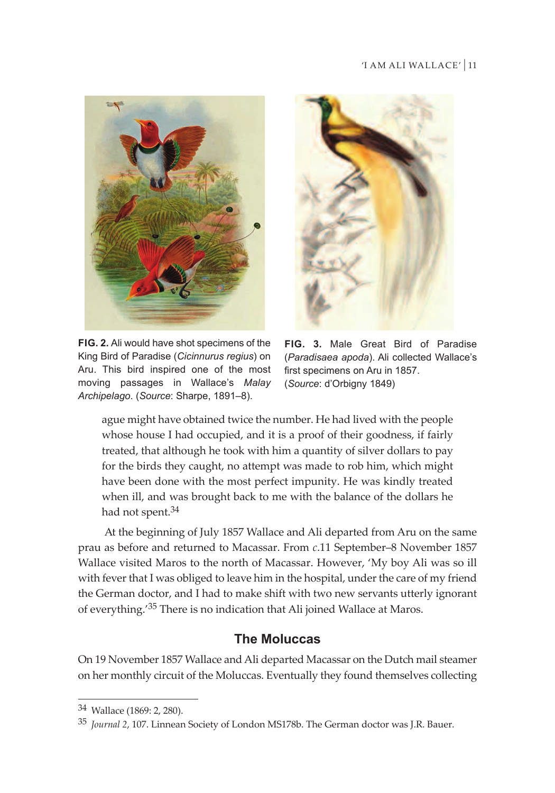### 'I AM ALI WALLACE' | <sup>11</sup>





**FIg. 2.** Ali would have shot specimens of the King Bird of Paradise (*Cicinnurus regius*) on Aru. This bird inspired one of the most moving passages in Wallace's *Malay Archipelago*. (*Source*: Sharpe, 1891–8).

**FIg. 3.** Male Great Bird of Paradise (*Paradisaea apoda*). Ali collected Wallace's first specimens on Aru in 1857. (*Source*: d'Orbigny 1849)

ague might have obtained twice the number. He had lived with the people whose house I had occupied, and it is a proof of their goodness, if fairly treated, that although he took with him a quantity of silver dollars to pay for the birds they caught, no attempt was made to rob him, which might have been done with the most perfect impunity. He was kindly treated when ill, and was brought back to me with the balance of the dollars he had not spent.<sup>34</sup>

At the beginning of July 1857 Wallace and Ali departed from Aru on the same prau as before and returned to Macassar. From *c*.11 September–8 November 1857 Wallace visited Maros to the north of Macassar. However, 'My boy Ali was so ill with fever that I was obliged to leave him in the hospital, under the care of my friend the German doctor, and I had to make shift with two new servants utterly ignorant of everything.'35 There is no indication that Ali joined Wallace at Maros.

### **The Moluccas**

On 19 November 1857 Wallace and Ali departed Macassar on the Dutch mail steamer on her monthly circuit of the Moluccas. Eventually they found themselves collecting

<sup>34</sup> Wallace (1869: 2, 280).

<sup>35</sup> *Journal 2*, 107. Linnean Society of London MS178b. The German doctor was J.R. Bauer.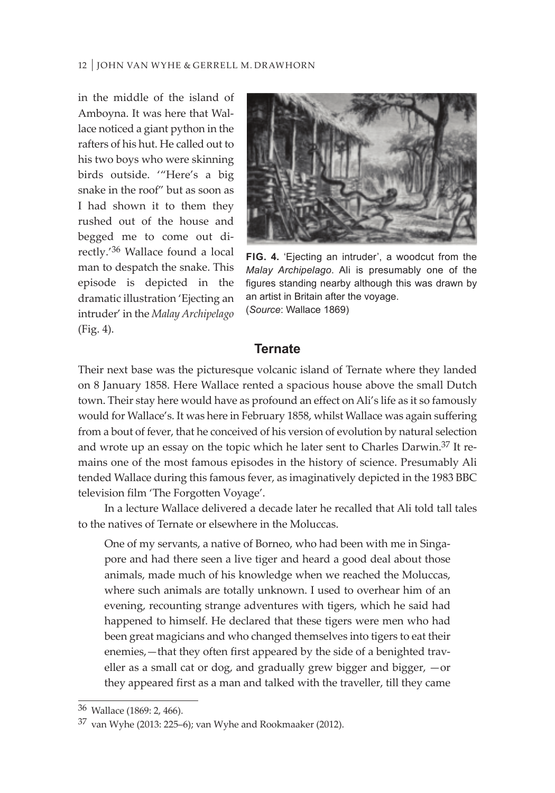in the middle of the island of Amboyna. It was here that Wallace noticed a giant python in the rafters of his hut. He called out to his two boys who were skinning birds outside. '"Here's a big snake in the roof" but as soon as I had shown it to them they rushed out of the house and begged me to come out directly.'<sup>36</sup> Wallace found a local man to despatch the snake. This episode is depicted in the dramatic illustration 'Ejecting an intruder' in the *Malay Archipelago* (Fig. 4).



FIG. 4. 'Ejecting an intruder', a woodcut from the *Malay Archipelago*. Ali is presumably one of the figures standing nearby although this was drawn by an artist in Britain after the voyage. (*Source*: Wallace 1869)

### **Ternate**

Their next base was the picturesque volcanic island of Ternate where they landed on 8 January 1858. Here Wallace rented a spacious house above the small Dutch town. Their stay here would have as profound an effect on Ali's life as it so famously would for Wallace's. It was here in February 1858, whilst Wallace was again suffering from a bout of fever, that he conceived of his version of evolution by natural selection and wrote up an essay on the topic which he later sent to Charles Darwin.<sup>37</sup> It remains one of the most famous episodes in the history of science. Presumably Ali tended Wallace during this famous fever, as imaginatively depicted in the 1983 BBC television film 'The Forgotten voyage'.

In a lecture Wallace delivered a decade later he recalled that Ali told tall tales to the natives of Ternate or elsewhere in the Moluccas.

One of my servants, a native of Borneo, who had been with me in Singapore and had there seen a live tiger and heard a good deal about those animals, made much of his knowledge when we reached the Moluccas, where such animals are totally unknown. I used to overhear him of an evening, recounting strange adventures with tigers, which he said had happened to himself. He declared that these tigers were men who had been great magicians and who changed themselves into tigers to eat their enemies,—that they often first appeared by the side of a benighted traveller as a small cat or dog, and gradually grew bigger and bigger,  $-$  or they appeared first as a man and talked with the traveller, till they came

<sup>36</sup> Wallace (1869: 2, 466).

 $37$  van Wyhe (2013: 225–6); van Wyhe and Rookmaaker (2012).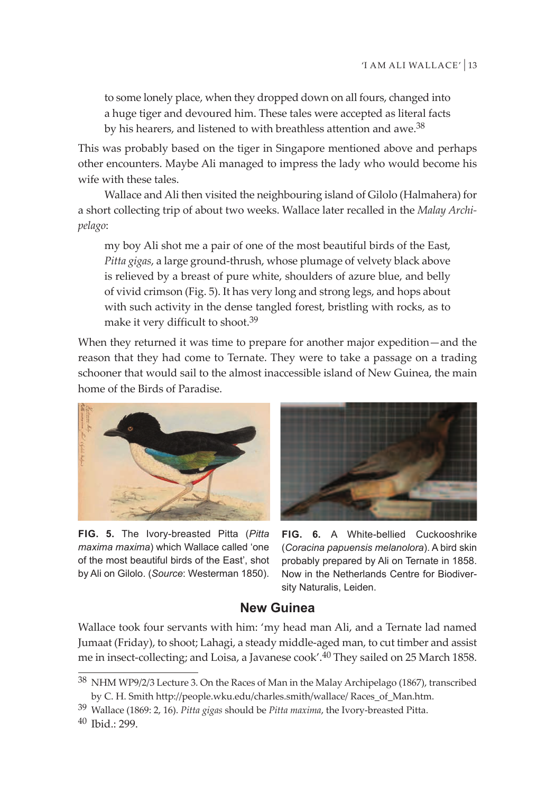to some lonely place, when they dropped down on all fours, changed into a huge tiger and devoured him. These tales were accepted as literal facts by his hearers, and listened to with breathless attention and awe.<sup>38</sup>

This was probably based on the tiger in Singapore mentioned above and perhaps other encounters. Maybe Ali managed to impress the lady who would become his wife with these tales.

Wallace and Ali then visited the neighbouring island of Gilolo (Halmahera) for a short collecting trip of about two weeks. Wallace later recalled in the *Malay Archipelago*:

my boy Ali shot me a pair of one of the most beautiful birds of the East, *Pitta gigas*, a large ground-thrush, whose plumage of velvety black above is relieved by a breast of pure white, shoulders of azure blue, and belly of vivid crimson (Fig. 5). It has very long and strong legs, and hops about with such activity in the dense tangled forest, bristling with rocks, as to make it very difficult to shoot.39

When they returned it was time to prepare for another major expedition—and the reason that they had come to Ternate. They were to take a passage on a trading schooner that would sail to the almost inaccessible island of New Guinea, the main home of the Birds of Paradise.



**FIg. 5.** The Ivory-breasted Pitta (*Pitta maxima maxima*) which Wallace called 'one of the most beautiful birds of the East', shot by Ali on Gilolo. (*Source*: Westerman 1850).



**FIg. 6.** A White-bellied Cuckooshrike (*Coracina papuensis melanolora*). A bird skin probably prepared by Ali on Ternate in 1858. Now in the Netherlands Centre for Biodiversity Naturalis, Leiden.

# **New guinea**

Wallace took four servants with him: 'my head man Ali, and a Ternate lad named Jumaat (Friday), to shoot; Lahagi, a steady middle-aged man, to cut timber and assist me in insect-collecting; and Loisa, a Javanese cook'.40 They sailed on 25 March 1858.

<sup>38</sup> NHM WP9/2/3 Lecture 3. On the Races of Man in the Malay Archipelago (1867), transcribed by C. H. Smith http://people.wku.edu/charles.smith/wallace/ Races\_of\_Man.htm.

<sup>39</sup> Wallace (1869: 2, 16). *Pitta gigas* should be *Pitta maxima*, the Ivory-breasted Pitta.

<sup>40</sup> Ibid.: 299.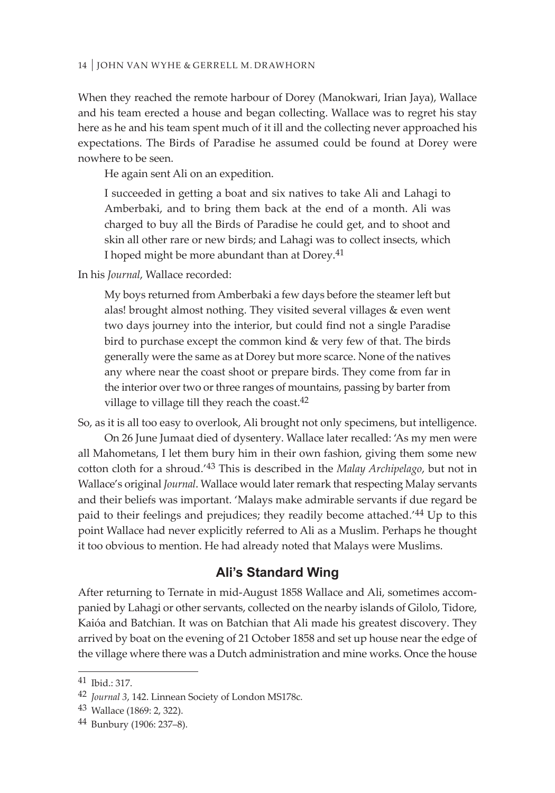When they reached the remote harbour of Dorey (Manokwari, Irian Jaya), Wallace and his team erected a house and began collecting. Wallace was to regret his stay here as he and his team spent much of it ill and the collecting never approached his expectations. The Birds of Paradise he assumed could be found at Dorey were nowhere to be seen.

He again sent Ali on an expedition.

I succeeded in getting a boat and six natives to take Ali and Lahagi to Amberbaki, and to bring them back at the end of a month. Ali was charged to buy all the Birds of Paradise he could get, and to shoot and skin all other rare or new birds; and Lahagi was to collect insects, which I hoped might be more abundant than at Dorey.41

In his *Journal*, Wallace recorded:

My boys returned from Amberbaki a few days before the steamer left but alas! brought almost nothing. They visited several villages & even went two days journey into the interior, but could find not a single Paradise bird to purchase except the common kind & very few of that. The birds generally were the same as at Dorey but more scarce. None of the natives any where near the coast shoot or prepare birds. They come from far in the interior over two or three ranges of mountains, passing by barter from village to village till they reach the coast.<sup>42</sup>

So, as it is all too easy to overlook, Ali brought not only specimens, but intelligence.

On 26 June Jumaat died of dysentery. Wallace later recalled: 'As my men were all Mahometans, I let them bury him in their own fashion, giving them some new cotton cloth for a shroud.'<sup>43</sup> This is described in the *Malay Archipelago*, but not in Wallace's original *Journal*. Wallace would later remark that respecting Malay servants and their beliefs was important. 'Malays make admirable servants if due regard be paid to their feelings and prejudices; they readily become attached.'<sup>44</sup> Up to this point Wallace had never explicitly referred to Ali as a Muslim. Perhaps he thought it too obvious to mention. He had already noted that Malays were Muslims.

### **Ali's Standard Wing**

After returning to Ternate in mid-August 1858 Wallace and Ali, sometimes accompanied by Lahagi or other servants, collected on the nearby islands of Gilolo, Tidore, Kaióa and Batchian. It was on Batchian that Ali made his greatest discovery. They arrived by boat on the evening of 21 October 1858 and set up house near the edge of the village where there was a Dutch administration and mine works. Once the house

<sup>41</sup> Ibid.: 317.

<sup>42</sup> *Journal 3*, 142. Linnean Society of London MS178c.

<sup>43</sup> Wallace (1869: 2, 322).

<sup>44</sup> Bunbury (1906: 237–8).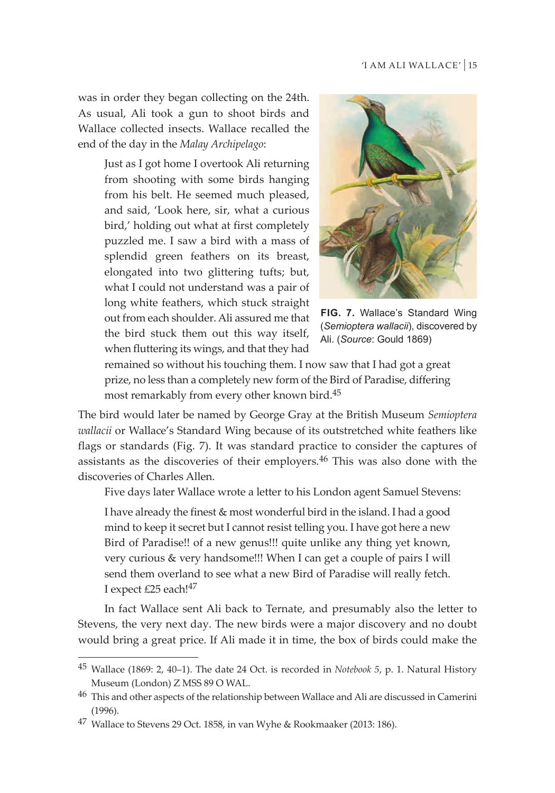was in order they began collecting on the 24th. As usual, Ali took a gun to shoot birds and Wallace collected insects. Wallace recalled the end of the day in the *Malay Archipelago*:

> Just as I got home I overtook Ali returning from shooting with some birds hanging from his belt. He seemed much pleased, and said, 'Look here, sir, what a curious bird,' holding out what at first completely puzzled me. I saw a bird with a mass of splendid green feathers on its breast, elongated into two glittering tufts; but, what I could not understand was a pair of long white feathers, which stuck straight out from each shoulder. Ali assured me that the bird stuck them out this way itself, when fluttering its wings, and that they had



**FIg. 7.** Wallace's Standard Wing (*Semioptera wallacii*), discovered by Ali. (*Source*: Gould 1869)

remained so without his touching them. I now saw that I had got a great prize, no less than a completely new form of the Bird of Paradise, differing most remarkably from every other known bird.45

The bird would later be named by George Gray at the British Museum *Semioptera wallacii* or Wallace's Standard Wing because of its outstretched white feathers like flags or standards (Fig. 7). It was standard practice to consider the captures of assistants as the discoveries of their employers.<sup>46</sup> This was also done with the discoveries of Charles Allen.

Five days later Wallace wrote a letter to his London agent Samuel Stevens:

I have already the finest & most wonderful bird in the island. I had a good mind to keep it secret but I cannot resist telling you. I have got here a new Bird of Paradise!! of a new genus!!! quite unlike any thing yet known, very curious & very handsome!!! When I can get a couple of pairs I will send them overland to see what a new Bird of Paradise will really fetch. I expect  $£25$  each! $47$ 

In fact Wallace sent Ali back to Ternate, and presumably also the letter to Stevens, the very next day. The new birds were a major discovery and no doubt would bring a great price. If Ali made it in time, the box of birds could make the

<sup>45</sup> Wallace (1869: 2, 40–1). The date 24 Oct. is recorded in *Notebook 5*, p. 1. Natural History Museum (London) Z MSS 89 O WAL.

<sup>46</sup> This and other aspects of the relationship between Wallace and Ali are discussed in Camerini (1996).

<sup>47</sup> Wallace to Stevens 29 Oct. 1858, in van Wyhe & Rookmaaker (2013: 186).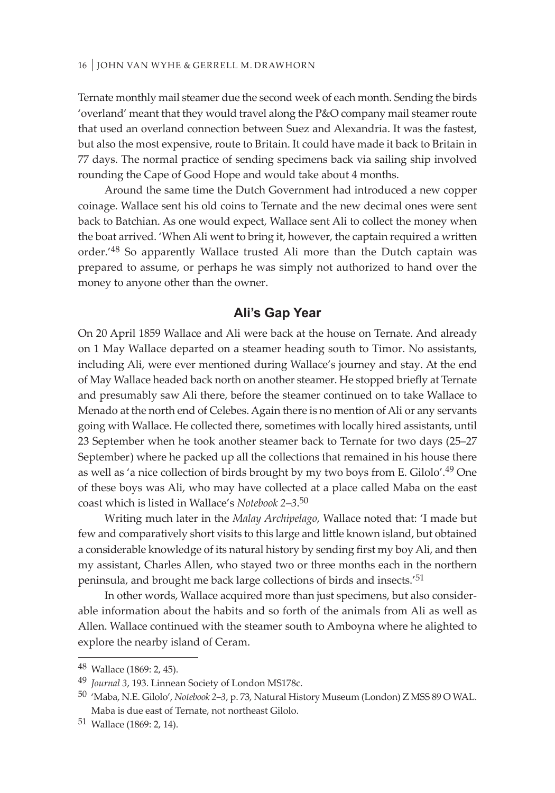Ternate monthly mail steamer due the second week of each month. Sending the birds 'overland' meant that they would travel along the P&O company mail steamer route that used an overland connection between Suez and Alexandria. It was the fastest, but also the most expensive, route to Britain. It could have made it back to Britain in 77 days. The normal practice of sending specimens back via sailing ship involved rounding the Cape of Good Hope and would take about 4 months.

Around the same time the Dutch Government had introduced a new copper coinage. Wallace sent his old coins to Ternate and the new decimal ones were sent back to Batchian. As one would expect, Wallace sent Ali to collect the money when the boat arrived. 'When Ali went to bring it, however, the captain required a written order.'<sup>48</sup> So apparently Wallace trusted Ali more than the Dutch captain was prepared to assume, or perhaps he was simply not authorized to hand over the money to anyone other than the owner.

### **Ali's gap Year**

On 20 April 1859 Wallace and Ali were back at the house on Ternate. And already on 1 May Wallace departed on a steamer heading south to Timor. No assistants, including Ali, were ever mentioned during Wallace's journey and stay. At the end of May Wallace headed back north on another steamer. He stopped briefly at Ternate and presumably saw Ali there, before the steamer continued on to take Wallace to Menado at the north end of Celebes. Again there is no mention of Ali or any servants going with Wallace. He collected there, sometimes with locally hired assistants, until 23 September when he took another steamer back to Ternate for two days (25–27 September) where he packed up all the collections that remained in his house there as well as 'a nice collection of birds brought by my two boys from E. Gilolo'.49 One of these boys was Ali, who may have collected at a place called Maba on the east coast which is listed in Wallace's *Notebook 2–3*. 50

Writing much later in the *Malay Archipelago*, Wallace noted that: 'I made but few and comparatively short visits to this large and little known island, but obtained a considerable knowledge of its natural history by sending first my boy Ali, and then my assistant, Charles Allen, who stayed two or three months each in the northern peninsula, and brought me back large collections of birds and insects.'51

In other words, Wallace acquired more than just specimens, but also considerable information about the habits and so forth of the animals from Ali as well as Allen. Wallace continued with the steamer south to Amboyna where he alighted to explore the nearby island of Ceram.

<sup>48</sup> Wallace (1869: 2, 45).

<sup>49</sup> *Journal 3*, 193. Linnean Society of London MS178c.

<sup>50</sup> 'Maba, N.E. Gilolo', *Notebook 2–3*, p. 73, Natural History Museum (London) Z MSS 89 O WAL. Maba is due east of Ternate, not northeast Gilolo.

<sup>51</sup> Wallace (1869: 2, 14).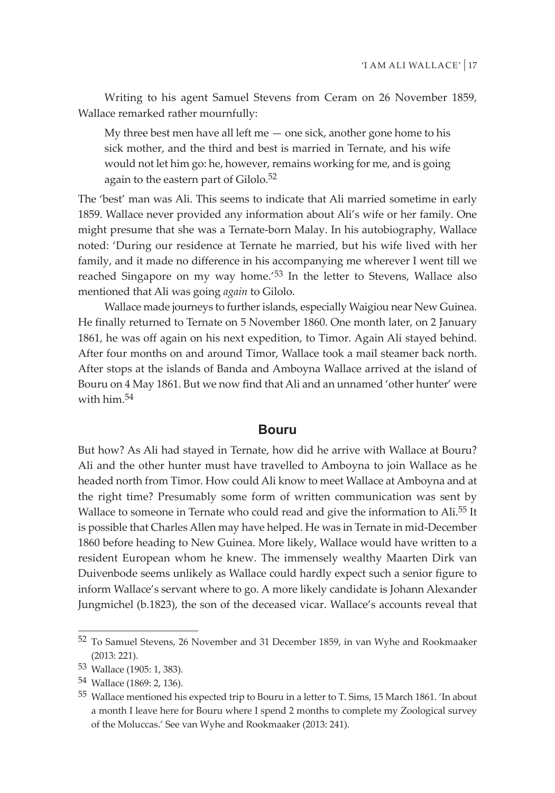Writing to his agent Samuel Stevens from Ceram on 26 November 1859, Wallace remarked rather mournfully:

My three best men have all left me  $-$  one sick, another gone home to his sick mother, and the third and best is married in Ternate, and his wife would not let him go: he, however, remains working for me, and is going again to the eastern part of Gilolo.<sup>52</sup>

The 'best' man was Ali. This seems to indicate that Ali married sometime in early 1859. Wallace never provided any information about Ali's wife or her family. One might presume that she was a Ternate-born Malay. In his autobiography, Wallace noted: 'During our residence at Ternate he married, but his wife lived with her family, and it made no difference in his accompanying me wherever I went till we reached Singapore on my way home.<sup>'53</sup> In the letter to Stevens, Wallace also mentioned that Ali was going *again* to Gilolo.

Wallace made journeys to further islands, especially Waigiou near New Guinea. He finally returned to Ternate on 5 November 1860. One month later, on 2 January 1861, he was off again on his next expedition, to Timor. Again Ali stayed behind. After four months on and around Timor, Wallace took a mail steamer back north. After stops at the islands of Banda and Amboyna Wallace arrived at the island of Bouru on 4 May 1861. But we now find that Ali and an unnamed 'other hunter' were with him.54

#### **Bouru**

But how? As Ali had stayed in Ternate, how did he arrive with Wallace at Bouru? Ali and the other hunter must have travelled to Amboyna to join Wallace as he headed north from Timor. How could Ali know to meet Wallace at Amboyna and at the right time? Presumably some form of written communication was sent by Wallace to someone in Ternate who could read and give the information to Ali.<sup>55</sup> It is possible that Charles Allen may have helped. He was in Ternate in mid-December 1860 before heading to New Guinea. More likely, Wallace would have written to a resident European whom he knew. The immensely wealthy Maarten Dirk van Duivenbode seems unlikely as Wallace could hardly expect such a senior figure to inform Wallace's servant where to go. A more likely candidate is Johann Alexander Jungmichel (b.1823), the son of the deceased vicar. Wallace's accounts reveal that

<sup>52</sup> To Samuel Stevens, 26 November and 31 December 1859, in van Wyhe and Rookmaaker (2013: 221).

<sup>53</sup> Wallace (1905: 1, 383).

<sup>54</sup> Wallace (1869: 2, 136).

<sup>55</sup> Wallace mentioned his expected trip to Bouru in a letter to T. Sims, 15 March 1861. 'In about a month I leave here for Bouru where I spend 2 months to complete my Zoological survey of the Moluccas.' See van Wyhe and Rookmaaker (2013: 241).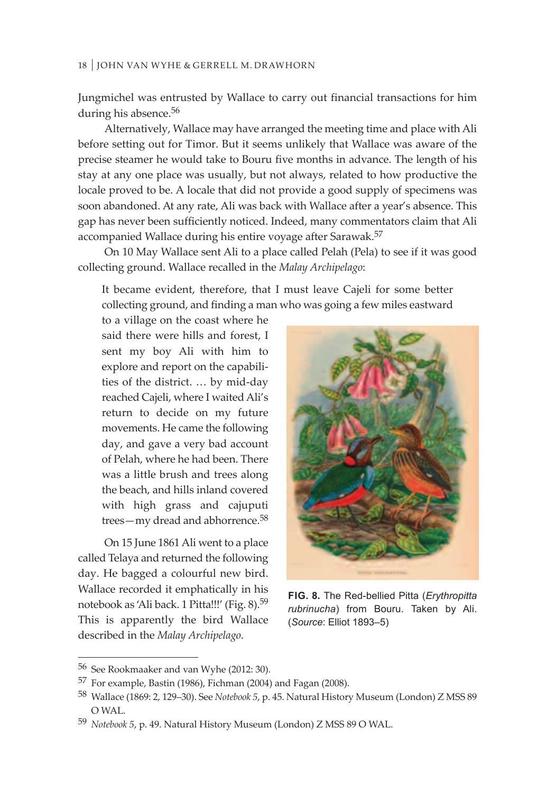Jungmichel was entrusted by Wallace to carry out financial transactions for him during his absence.<sup>56</sup>

Alternatively, Wallace may have arranged the meeting time and place with Ali before setting out for Timor. But it seems unlikely that Wallace was aware of the precise steamer he would take to Bouru five months in advance. The length of his stay at any one place was usually, but not always, related to how productive the locale proved to be. A locale that did not provide a good supply of specimens was soon abandoned. At any rate, Ali was back with Wallace after a year's absence. This gap has never been sufficiently noticed. Indeed, many commentators claim that Ali accompanied Wallace during his entire voyage after Sarawak.<sup>57</sup>

On 10 May Wallace sent Ali to a place called Pelah (Pela) to see if it was good collecting ground. Wallace recalled in the *Malay Archipelago*:

It became evident, therefore, that I must leave Cajeli for some better collecting ground, and finding a man who was going a few miles eastward

to a village on the coast where he said there were hills and forest, I sent my boy Ali with him to explore and report on the capabilities of the district. … by mid-day reached Cajeli, where I waited Ali's return to decide on my future movements. He came the following day, and gave a very bad account of Pelah, where he had been. There was a little brush and trees along the beach, and hills inland covered with high grass and cajuputi trees—my dread and abhorrence.<sup>58</sup>

On 15 June 1861 Ali went to a place called Telaya and returned the following day. He bagged a colourful new bird. Wallace recorded it emphatically in his notebook as 'Ali back. 1 Pitta!!!' (Fig. 8).<sup>59</sup> This is apparently the bird Wallace described in the *Malay Archipelago*.



**FIg. 8.** The Red-bellied Pitta (*Erythropitta rubrinucha*) from Bouru. Taken by Ali. (*Source*: elliot 1893–5)

<sup>56</sup> See Rookmaaker and van Wyhe (2012: 30).

<sup>57</sup> For example, Bastin (1986), Fichman (2004) and Fagan (2008).

<sup>58</sup> Wallace (1869: 2, 129–30). See *Notebook 5*, p. 45. Natural History Museum (London) Z MSS 89 O WAL.

<sup>59</sup> *Notebook 5*, p. 49. Natural History Museum (London) Z MSS 89 O WAL.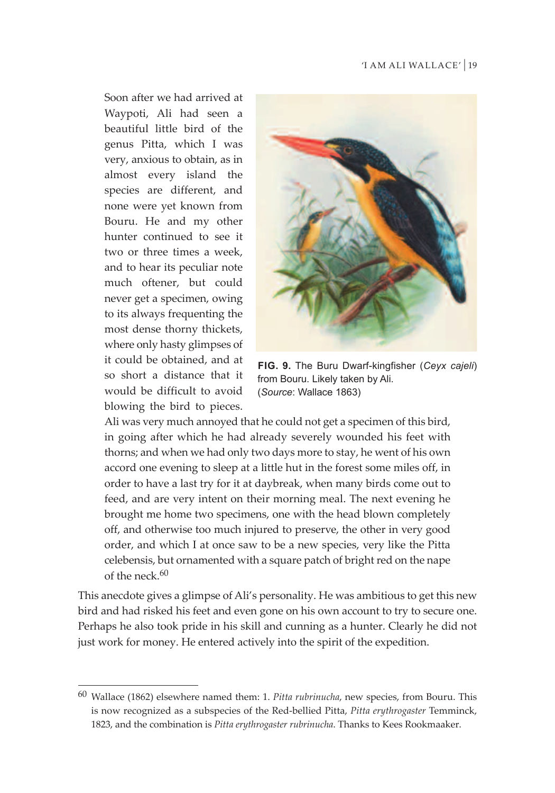#### 'I AM ALI WALLACE' | <sup>19</sup>

Soon after we had arrived at Waypoti, Ali had seen a beautiful little bird of the genus Pitta, which I was very, anxious to obtain, as in almost every island the species are different, and none were yet known from Bouru. He and my other hunter continued to see it two or three times a week, and to hear its peculiar note much oftener, but could never get a specimen, owing to its always frequenting the most dense thorny thickets, where only hasty glimpses of it could be obtained, and at so short a distance that it would be difficult to avoid blowing the bird to pieces.



**FIG. 9.** The Buru Dwarf-kingfisher (*Ceyx cajeli*) from Bouru. Likely taken by Ali. (*Source*: Wallace 1863)

Ali was very much annoyed that he could not get a specimen of this bird, in going after which he had already severely wounded his feet with thorns; and when we had only two days more to stay, he went of his own accord one evening to sleep at a little hut in the forest some miles off, in order to have a last try for it at daybreak, when many birds come out to feed, and are very intent on their morning meal. The next evening he brought me home two specimens, one with the head blown completely off, and otherwise too much injured to preserve, the other in very good order, and which I at once saw to be a new species, very like the Pitta celebensis, but ornamented with a square patch of bright red on the nape of the neck  $60$ 

This anecdote gives a glimpse of Ali's personality. He was ambitious to get this new bird and had risked his feet and even gone on his own account to try to secure one. Perhaps he also took pride in his skill and cunning as a hunter. Clearly he did not just work for money. He entered actively into the spirit of the expedition.

<sup>60</sup> Wallace (1862) elsewhere named them: 1. *Pitta rubrinucha*, new species, from Bouru. This is now recognized as a subspecies of the Red-bellied Pitta, *Pitta erythrogaster* Temminck, 1823, and the combination is *Pitta erythrogaster rubrinucha*. Thanks to Kees Rookmaaker.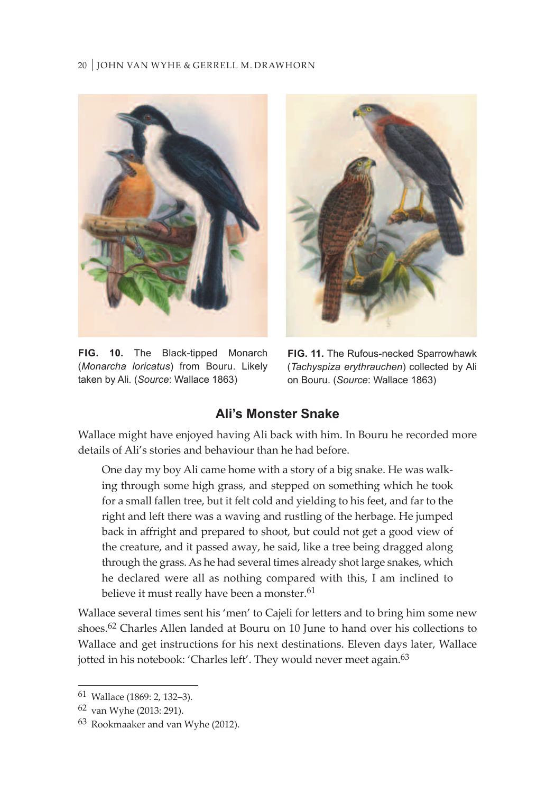

**FIg. 10.** The Black-tipped Monarch (*Monarcha loricatus*) from Bouru. Likely taken by Ali. (*Source*: Wallace 1863)



**FIg. 11.** The Rufous-necked Sparrowhawk (*Tachyspiza erythrauchen*) collected by Ali on Bouru. (*Source*: Wallace 1863)

# **Ali's Monster Snake**

Wallace might have enjoyed having Ali back with him. In Bouru he recorded more details of Ali's stories and behaviour than he had before.

One day my boy Ali came home with a story of a big snake. He was walking through some high grass, and stepped on something which he took for a small fallen tree, but it felt cold and yielding to his feet, and far to the right and left there was a waving and rustling of the herbage. He jumped back in affright and prepared to shoot, but could not get a good view of the creature, and it passed away, he said, like a tree being dragged along through the grass. As he had several times already shot large snakes, which he declared were all as nothing compared with this, I am inclined to believe it must really have been a monster.<sup>61</sup>

Wallace several times sent his 'men' to Cajeli for letters and to bring him some new shoes.62 Charles Allen landed at Bouru on 10 June to hand over his collections to Wallace and get instructions for his next destinations. Eleven days later, Wallace jotted in his notebook: 'Charles left'. They would never meet again.<sup>63</sup>

<sup>61</sup> Wallace (1869: 2, 132–3).

<sup>62</sup> van Wyhe (2013: 291).

<sup>63</sup> Rookmaaker and van Wyhe (2012).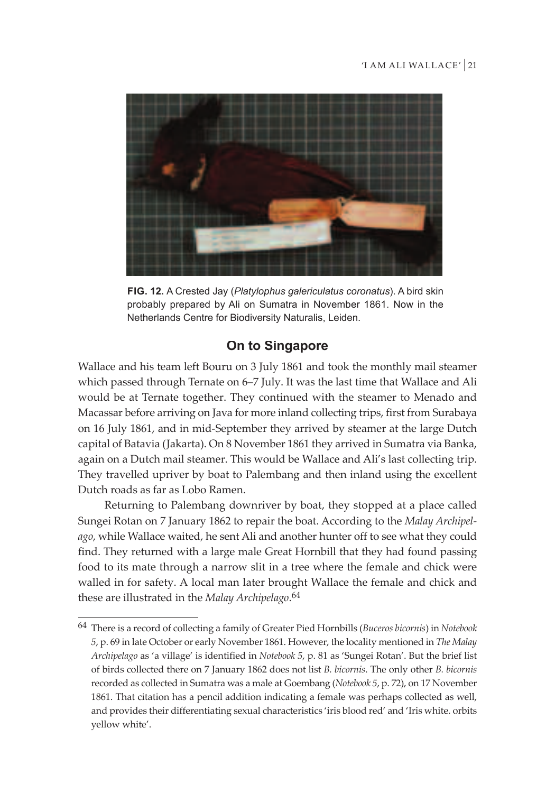

**FIg. 12.** A Crested Jay (*Platylophus galericulatus coronatus*). A bird skin probably prepared by Ali on Sumatra in November 1861. Now in the Netherlands Centre for Biodiversity Naturalis, Leiden.

# **On to Singapore**

Wallace and his team left Bouru on 3 July 1861 and took the monthly mail steamer which passed through Ternate on 6–7 July. It was the last time that Wallace and Ali would be at Ternate together. They continued with the steamer to Menado and Macassar before arriving on Java for more inland collecting trips, first from Surabaya on 16 July 1861, and in mid-September they arrived by steamer at the large Dutch capital of Batavia (Jakarta). On 8 November 1861 they arrived in Sumatra via Banka, again on a Dutch mail steamer. This would be Wallace and Ali's last collecting trip. They travelled upriver by boat to Palembang and then inland using the excellent Dutch roads as far as Lobo Ramen.

Returning to Palembang downriver by boat, they stopped at a place called Sungei Rotan on 7 January 1862 to repair the boat. According to the *Malay Archipelago*, while Wallace waited, he sent Ali and another hunter off to see what they could find. They returned with a large male Great Hornbill that they had found passing food to its mate through a narrow slit in a tree where the female and chick were walled in for safety. A local man later brought Wallace the female and chick and these are illustrated in the *Malay Archipelago*. 64

<sup>64</sup> There is a record of collecting a family of Greater Pied Hornbills (*Buceros bicornis*) in *Notebook 5*, p. 69 in late October or early November 1861. However, the locality mentioned in *The Malay Archipelago* as 'a village' is identified in *Notebook 5*, p. 81 as 'Sungei Rotan'. But the brief list of birds collected there on 7 January 1862 does not list *B. bicornis*. The only other *B. bicornis* recorded as collected in Sumatra was a male at Goembang (*Notebook 5*, p. 72), on 17 November 1861. That citation has a pencil addition indicating a female was perhaps collected as well, and provides their differentiating sexual characteristics 'iris blood red' and 'Iris white. orbits yellow white'.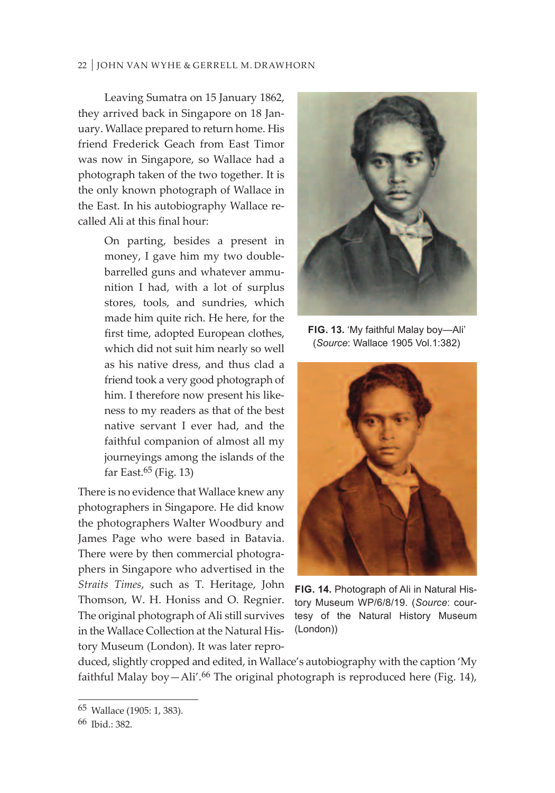Leaving Sumatra on 15 January 1862, they arrived back in Singapore on 18 January. Wallace prepared to return home. His friend Frederick Geach from East Timor was now in Singapore, so Wallace had a photograph taken of the two together. It is the only known photograph of Wallace in the East. In his autobiography Wallace recalled Ali at this final hour:

> On parting, besides a present in money, I gave him my two doublebarrelled guns and whatever ammunition I had, with a lot of surplus stores, tools, and sundries, which made him quite rich. He here, for the first time, adopted European clothes, which did not suit him nearly so well as his native dress, and thus clad a friend took a very good photograph of him. I therefore now present his likeness to my readers as that of the best native servant I ever had, and the faithful companion of almost all my journeyings among the islands of the far East.65 (Fig. 13)

There is no evidence that Wallace knew any photographers in Singapore. He did know the photographers Walter Woodbury and James Page who were based in Batavia. There were by then commercial photographers in Singapore who advertised in the *Straits Times*, such as T. Heritage, John Thomson, W. H. Honiss and O. Regnier. The original photograph of Ali still survives in the Wallace Collection at the Natural History Museum (London). It was later repro-



**FIg. 13.** 'My faithful Malay boy—Ali' (*Source*: Wallace 1905 Vol.1:382)



FIG. 14. Photograph of Ali in Natural History Museum WP/6/8/19. (*Source*: courtesy of the Natural History Museum (London))

duced, slightly cropped and edited, in Wallace's autobiography with the caption 'My faithful Malay boy $-Ali'.<sup>66</sup>$  The original photograph is reproduced here (Fig. 14),

<sup>65</sup> Wallace (1905: 1, 383).

 $66$  Ibid.: 382.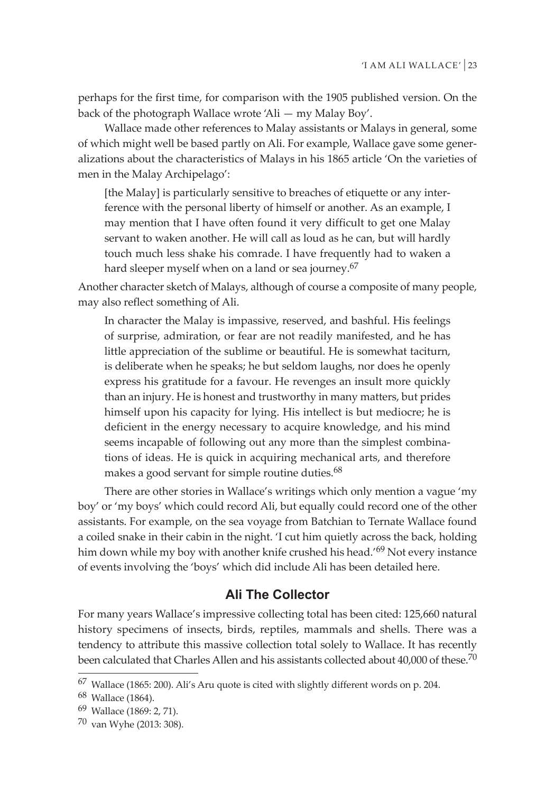perhaps for the first time, for comparison with the 1905 published version. On the back of the photograph Wallace wrote 'Ali — my Malay Boy'.

Wallace made other references to Malay assistants or Malays in general, some of which might well be based partly on Ali. For example, Wallace gave some generalizations about the characteristics of Malays in his 1865 article 'On the varieties of men in the Malay Archipelago':

[the Malay] is particularly sensitive to breaches of etiquette or any interference with the personal liberty of himself or another. As an example, I may mention that I have often found it very difficult to get one Malay servant to waken another. He will call as loud as he can, but will hardly touch much less shake his comrade. I have frequently had to waken a hard sleeper myself when on a land or sea journey.<sup>67</sup>

Another character sketch of Malays, although of course a composite of many people, may also reflect something of Ali.

In character the Malay is impassive, reserved, and bashful. His feelings of surprise, admiration, or fear are not readily manifested, and he has little appreciation of the sublime or beautiful. He is somewhat taciturn, is deliberate when he speaks; he but seldom laughs, nor does he openly express his gratitude for a favour. He revenges an insult more quickly than an injury. He is honest and trustworthy in many matters, but prides himself upon his capacity for lying. His intellect is but mediocre; he is deficient in the energy necessary to acquire knowledge, and his mind seems incapable of following out any more than the simplest combinations of ideas. He is quick in acquiring mechanical arts, and therefore makes a good servant for simple routine duties.<sup>68</sup>

There are other stories in Wallace's writings which only mention a vague 'my boy' or 'my boys' which could record Ali, but equally could record one of the other assistants. For example, on the sea voyage from Batchian to Ternate Wallace found a coiled snake in their cabin in the night. 'I cut him quietly across the back, holding him down while my boy with another knife crushed his head.<sup>'69</sup> Not every instance of events involving the 'boys' which did include Ali has been detailed here.

### **Ali The Collector**

For many years Wallace's impressive collecting total has been cited: 125,660 natural history specimens of insects, birds, reptiles, mammals and shells. There was a tendency to attribute this massive collection total solely to Wallace. It has recently been calculated that Charles Allen and his assistants collected about 40,000 of these.<sup>70</sup>

 $67$  Wallace (1865: 200). Ali's Aru quote is cited with slightly different words on p. 204.

<sup>68</sup> Wallace (1864).

<sup>69</sup> Wallace (1869: 2, 71).

<sup>70</sup> van Wyhe (2013: 308).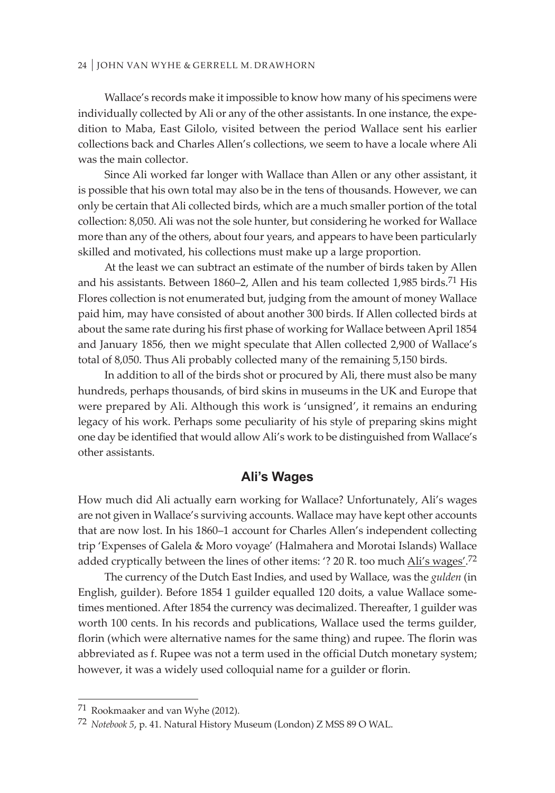Wallace's records make it impossible to know how many of his specimens were individually collected by Ali or any of the other assistants. In one instance, the expedition to Maba, East Gilolo, visited between the period Wallace sent his earlier collections back and Charles Allen's collections, we seem to have a locale where Ali was the main collector.

Since Ali worked far longer with Wallace than Allen or any other assistant, it is possible that his own total may also be in the tens of thousands. However, we can only be certain that Ali collected birds, which are a much smaller portion of the total collection: 8,050. Ali was not the sole hunter, but considering he worked for Wallace more than any of the others, about four years, and appears to have been particularly skilled and motivated, his collections must make up a large proportion.

At the least we can subtract an estimate of the number of birds taken by Allen and his assistants. Between 1860–2, Allen and his team collected 1,985 birds.<sup>71</sup> His Flores collection is not enumerated but, judging from the amount of money Wallace paid him, may have consisted of about another 300 birds. If Allen collected birds at about the same rate during his first phase of working for Wallace between April 1854 and January 1856, then we might speculate that Allen collected 2,900 of Wallace's total of 8,050. Thus Ali probably collected many of the remaining 5,150 birds.

In addition to all of the birds shot or procured by Ali, there must also be many hundreds, perhaps thousands, of bird skins in museums in the UK and Europe that were prepared by Ali. Although this work is 'unsigned', it remains an enduring legacy of his work. Perhaps some peculiarity of his style of preparing skins might one day be identified that would allow Ali's work to be distinguished from Wallace's other assistants.

### **Ali's Wages**

How much did Ali actually earn working for Wallace? Unfortunately, Ali's wages are not given in Wallace's surviving accounts. Wallace may have kept other accounts that are now lost. In his 1860–1 account for Charles Allen's independent collecting trip 'Expenses of Galela & Moro voyage' (Halmahera and Morotai Islands) Wallace added cryptically between the lines of other items: '? 20 R. too much Ali's wages'.<sup>72</sup>

The currency of the Dutch East Indies, and used by Wallace, was the *gulden* (in English, guilder). Before 1854 1 guilder equalled 120 doits, a value Wallace sometimes mentioned. After 1854 the currency was decimalized. Thereafter, 1 guilder was worth 100 cents. In his records and publications, Wallace used the terms guilder, florin (which were alternative names for the same thing) and rupee. The florin was abbreviated as f. Rupee was not a term used in the official Dutch monetary system; however, it was a widely used colloquial name for a guilder or florin.

<sup>71</sup> Rookmaaker and van Wyhe (2012).

<sup>72</sup> *Notebook 5*, p. 41. Natural History Museum (London) Z MSS 89 O WAL.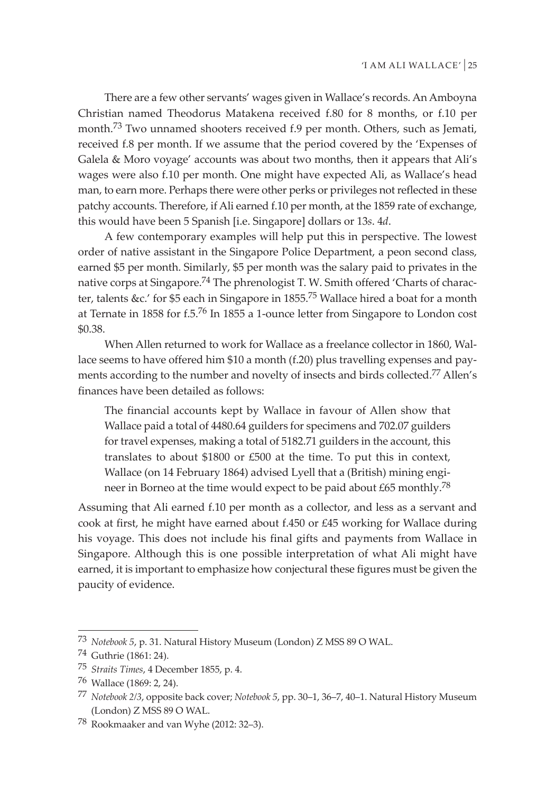There are a few other servants' wages given in Wallace's records. An Amboyna Christian named Theodorus Matakena received f.80 for 8 months, or f.10 per month.<sup>73</sup> Two unnamed shooters received f.9 per month. Others, such as Jemati, received f.8 per month. If we assume that the period covered by the 'Expenses of Galela & Moro voyage' accounts was about two months, then it appears that Ali's wages were also f.10 per month. One might have expected Ali, as Wallace's head man, to earn more. Perhaps there were other perks or privileges not reflected in these patchy accounts. Therefore, if Ali earned f.10 per month, at the 1859 rate of exchange, this would have been 5 Spanish [i.e. Singapore] dollars or 13*s*. 4*d*.

A few contemporary examples will help put this in perspective. The lowest order of native assistant in the Singapore Police Department, a peon second class, earned \$5 per month. Similarly, \$5 per month was the salary paid to privates in the native corps at Singapore.<sup>74</sup> The phrenologist T. W. Smith offered 'Charts of character, talents &c.' for \$5 each in Singapore in 1855.75 Wallace hired a boat for a month at Ternate in 1858 for f.5.76 In 1855 a 1-ounce letter from Singapore to London cost \$0.38.

When Allen returned to work for Wallace as a freelance collector in 1860, Wallace seems to have offered him \$10 a month (f.20) plus travelling expenses and payments according to the number and novelty of insects and birds collected.77 Allen's finances have been detailed as follows:

The financial accounts kept by Wallace in favour of Allen show that Wallace paid a total of 4480.64 guilders for specimens and 702.07 guilders for travel expenses, making a total of 5182.71 guilders in the account, this translates to about \$1800 or £500 at the time. To put this in context, Wallace (on 14 February 1864) advised Lyell that a (British) mining engineer in Borneo at the time would expect to be paid about £65 monthly.78

Assuming that Ali earned f.10 per month as a collector, and less as a servant and cook at first, he might have earned about f.450 or  $£45$  working for Wallace during his voyage. This does not include his final gifts and payments from Wallace in Singapore. Although this is one possible interpretation of what Ali might have earned, it is important to emphasize how conjectural these figures must be given the paucity of evidence.

<sup>73</sup> *Notebook 5*, p. 31. Natural History Museum (London) Z MSS 89 O WAL.

<sup>74</sup> Guthrie (1861: 24).

<sup>75</sup> *Straits Times*, 4 December 1855, p. 4.

<sup>76</sup> Wallace (1869: 2, 24).

<sup>77</sup> *Notebook 2/3*, opposite back cover; *Notebook 5*, pp. 30–1, 36–7, 40–1. Natural History Museum (London) Z MSS 89 O WAL.

<sup>78</sup> Rookmaaker and van Wyhe (2012: 32–3).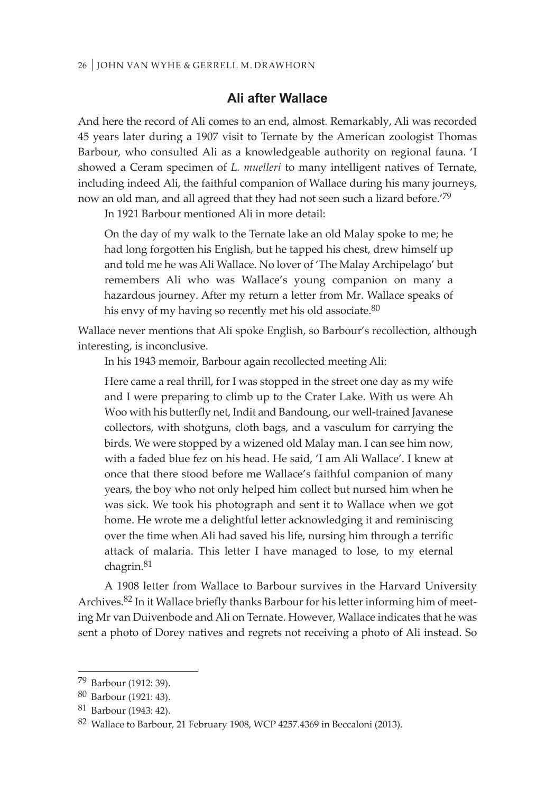# **Ali after Wallace**

And here the record of Ali comes to an end, almost. Remarkably, Ali was recorded 45 years later during a 1907 visit to Ternate by the American zoologist Thomas Barbour, who consulted Ali as a knowledgeable authority on regional fauna. 'I showed a Ceram specimen of *L. muelleri* to many intelligent natives of Ternate, including indeed Ali, the faithful companion of Wallace during his many journeys, now an old man, and all agreed that they had not seen such a lizard before.<sup>'79</sup>

In 1921 Barbour mentioned Ali in more detail:

On the day of my walk to the Ternate lake an old Malay spoke to me; he had long forgotten his English, but he tapped his chest, drew himself up and told me he was Ali Wallace. No lover of 'The Malay Archipelago' but remembers Ali who was Wallace's young companion on many a hazardous journey. After my return a letter from Mr. Wallace speaks of his envy of my having so recently met his old associate.<sup>80</sup>

Wallace never mentions that Ali spoke English, so Barbour's recollection, although interesting, is inconclusive.

In his 1943 memoir, Barbour again recollected meeting Ali:

Here came a real thrill, for I was stopped in the street one day as my wife and I were preparing to climb up to the Crater Lake. With us were Ah Woo with his butterfly net, Indit and Bandoung, our well-trained Javanese collectors, with shotguns, cloth bags, and a vasculum for carrying the birds. We were stopped by a wizened old Malay man. I can see him now, with a faded blue fez on his head. He said, 'I am Ali Wallace'. I knew at once that there stood before me Wallace's faithful companion of many years, the boy who not only helped him collect but nursed him when he was sick. We took his photograph and sent it to Wallace when we got home. He wrote me a delightful letter acknowledging it and reminiscing over the time when Ali had saved his life, nursing him through a terrific attack of malaria. This letter I have managed to lose, to my eternal chagrin.81

A 1908 letter from Wallace to Barbour survives in the Harvard University Archives.<sup>82</sup> In it Wallace briefly thanks Barbour for his letter informing him of meeting Mr van Duivenbode and Ali on Ternate. However, Wallace indicates that he was sent a photo of Dorey natives and regrets not receiving a photo of Ali instead. So

<sup>79</sup> Barbour (1912: 39).

<sup>80</sup> Barbour (1921: 43).

<sup>81</sup> Barbour (1943: 42).

<sup>82</sup> Wallace to Barbour, 21 February 1908, WCP 4257.4369 in Beccaloni (2013).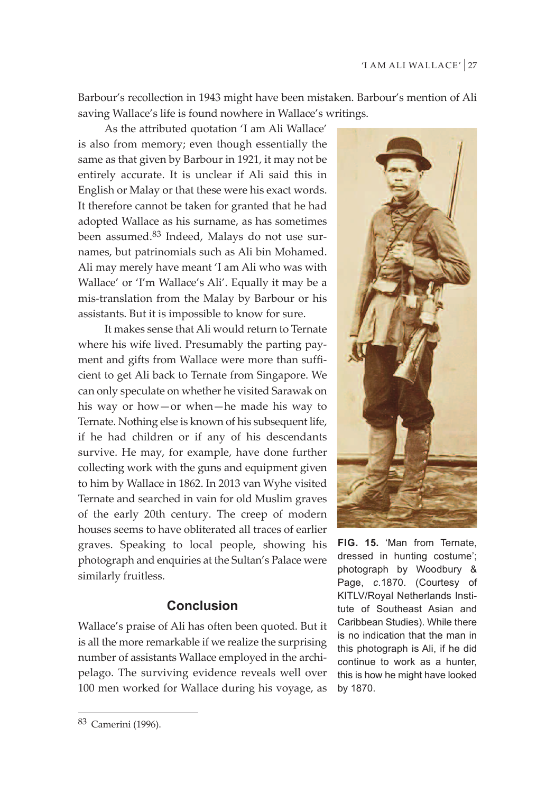Barbour's recollection in 1943 might have been mistaken. Barbour's mention of Ali saving Wallace's life is found nowhere in Wallace's writings.

As the attributed quotation 'I am Ali Wallace' is also from memory; even though essentially the same as that given by Barbour in 1921, it may not be entirely accurate. It is unclear if Ali said this in English or Malay or that these were his exact words. It therefore cannot be taken for granted that he had adopted Wallace as his surname, as has sometimes been assumed.<sup>83</sup> Indeed, Malays do not use surnames, but patrinomials such as Ali bin Mohamed. Ali may merely have meant 'I am Ali who was with Wallace' or 'I'm Wallace's Ali'. Equally it may be a mis-translation from the Malay by Barbour or his assistants. But it is impossible to know for sure.

It makes sense that Ali would return to Ternate where his wife lived. Presumably the parting payment and gifts from Wallace were more than sufficient to get Ali back to Ternate from Singapore. We can only speculate on whether he visited Sarawak on his way or how—or when—he made his way to Ternate. Nothing else is known of his subsequent life, if he had children or if any of his descendants survive. He may, for example, have done further collecting work with the guns and equipment given to him by Wallace in 1862. In 2013 van Wyhe visited Ternate and searched in vain for old Muslim graves of the early 20th century. The creep of modern houses seems to have obliterated all traces of earlier graves. Speaking to local people, showing his photograph and enquiries at the Sultan's Palace were similarly fruitless.

### **Conclusion**

Wallace's praise of Ali has often been quoted. But it is all the more remarkable if we realize the surprising number of assistants Wallace employed in the archipelago. The surviving evidence reveals well over 100 men worked for Wallace during his voyage, as



**FIg. 15.** 'Man from Ternate, dressed in hunting costume'; photograph by Woodbury & Page, *c*.1870. (Courtesy of KITLV/Royal Netherlands Institute of Southeast Asian and Caribbean Studies). While there is no indication that the man in this photograph is Ali, if he did continue to work as a hunter, this is how he might have looked by 1870.

<sup>83</sup> Camerini (1996).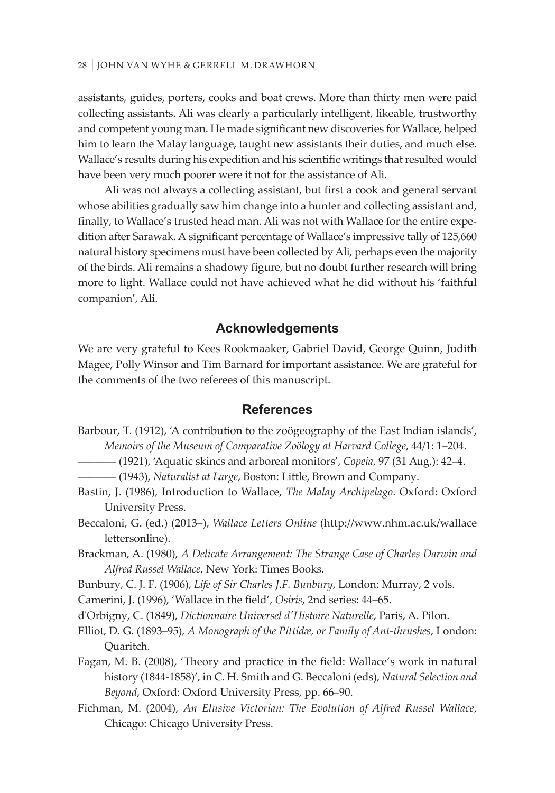assistants, guides, porters, cooks and boat crews. More than thirty men were paid collecting assistants. Ali was clearly a particularly intelligent, likeable, trustworthy and competent young man. He made significant new discoveries for Wallace, helped him to learn the Malay language, taught new assistants their duties, and much else. Wallace's results during his expedition and his scientific writings that resulted would have been very much poorer were it not for the assistance of Ali.

Ali was not always a collecting assistant, but first a cook and general servant whose abilities gradually saw him change into a hunter and collecting assistant and, finally, to Wallace's trusted head man. Ali was not with Wallace for the entire expedition after Sarawak. A significant percentage of Wallace's impressive tally of 125,660 natural history specimens must have been collected by Ali, perhaps even the majority of the birds. Ali remains a shadowy figure, but no doubt further research will bring more to light. Wallace could not have achieved what he did without his 'faithful companion', Ali.

### **Acknowledgements**

We are very grateful to Kees Rookmaaker, Gabriel David, George Quinn, Judith Magee, Polly Winsor and Tim Barnard for important assistance. We are grateful for the comments of the two referees of this manuscript.

### **References**

- Barbour, T. (1912), 'A contribution to the zoögeography of the East Indian islands', *Memoirs of the Museum of Comparative Zoölogy at Harvard College*, 44/1: 1–204.
- ––––––– (1921), 'Aquatic skincs and arboreal monitors', *Copeia*, 97 (31 Aug.): 42–4.
- ––––––– (1943), *Naturalist at Large*, Boston: Little, Brown and Company.
- Bastin, J. (1986), Introduction to Wallace, *The Malay Archipelago*. Oxford: Oxford University Press.
- Beccaloni, G. (ed.) (2013–), *Wallace Letters Online* (http://www.nhm.ac.uk/wallace lettersonline).
- Brackman, A. (1980), *A Delicate Arrangement: The Strange Case of Charles Darwin and Alfred Russel Wallace*, New York: Times Books.
- Bunbury, C. J. F. (1906), *Life of Sir Charles J.F. Bunbury*, London: Murray, 2 vols.
- Camerini, J. (1996), 'Wallace in the field', *Osiris*, 2nd series: 44–65.
- d'Orbigny, C. (1849), *Dictionnaire Universel d'Histoire Naturelle*, Paris, A. Pilon.
- Elliot, D. G. (1893–95), *A Monograph of the Pittidæ, or Family of Ant-thrushes*, London: Quaritch.
- Fagan, M. B. (2008), 'Theory and practice in the field: Wallace's work in natural history (1844-1858)', in C. H. Smith and G. Beccaloni (eds), *Natural Selection and Beyond*, Oxford: Oxford University Press, pp. 66–90.
- Fichman, M. (2004), *An Elusive Victorian: The Evolution of Alfred Russel Wallace*, Chicago: Chicago University Press.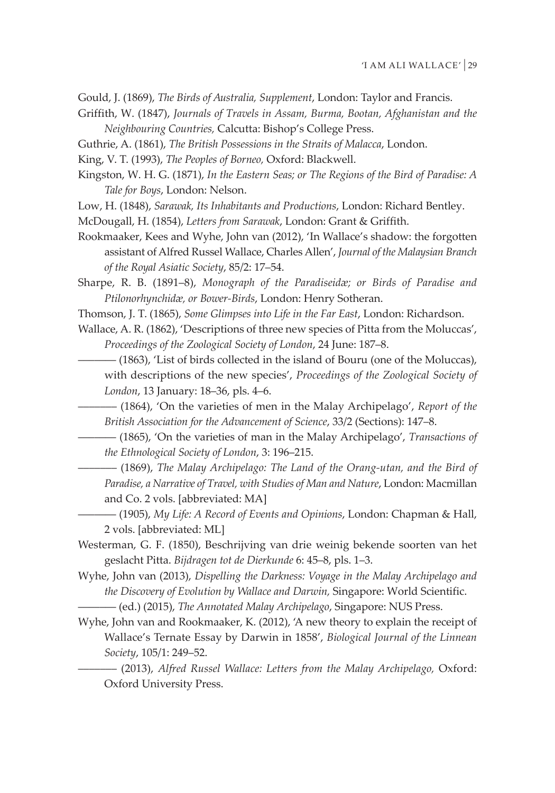Gould, J. (1869), *The Birds of Australia, Supplement*, London: Taylor and Francis.

- Griffith, W. (1847), *Journals of Travels in Assam, Burma, Bootan, Afghanistan and the Neighbouring Countries,* Calcutta: Bishop's College Press.
- Guthrie, A. (1861), *The British Possessions in the Straits of Malacca*, London.
- King, v. T. (1993), *The Peoples of Borneo,* Oxford: Blackwell.
- Kingston, W. H. G. (1871), *In the Eastern Seas; or The Regions of the Bird of Paradise: A Tale for Boys*, London: Nelson.
- Low, H. (1848), *Sarawak, Its Inhabitants and Productions*, London: Richard Bentley.
- McDougall, H. (1854), *Letters from Sarawak*, London: Grant & Griffith.
- Rookmaaker, Kees and Wyhe, John van (2012), 'In Wallace's shadow: the forgotten assistant of Alfred Russel Wallace, Charles Allen', *Journal of the Malaysian Branch of the Royal Asiatic Society*, 85/2: 17–54.
- Sharpe, R. B. (1891–8), *Monograph of the Paradiseidæ; or Birds of Paradise and Ptilonorhynchidæ, or Bower-Birds*, London: Henry Sotheran.
- Thomson, J. T. (1865), *Some Glimpses into Life in the Far East*, London: Richardson.
- Wallace, A. R. (1862), 'Descriptions of three new species of Pitta from the Moluccas', *Proceedings of the Zoological Society of London*, 24 June: 187–8.
	- $-$  (1863), 'List of birds collected in the island of Bouru (one of the Moluccas), with descriptions of the new species', *Proceedings of the Zoological Society of London*, 13 January: 18–36, pls. 4–6.
	- ––––––– (1864), 'On the varieties of men in the Malay Archipelago', *Report of the British Association for the Advancement of Science*, 33/2 (Sections): 147–8.
	- ––––––– (1865), 'On the varieties of man in the Malay Archipelago', *Transactions of the Ethnological Society of London*, 3: 196–215.
	- ––––––– (1869), *The Malay Archipelago: The Land of the Orang-utan, and the Bird of Paradise, a Narrative of Travel, with Studies of Man and Nature*, London: Macmillan and Co. 2 vols. [abbreviated: MA]
	- ––––––– (1905), *My Life: A Record of Events and Opinions*, London: Chapman & Hall, 2 vols. [abbreviated: ML]
- Westerman, G. F. (1850), Beschrijving van drie weinig bekende soorten van het geslacht Pitta. *Bijdragen tot de Dierkunde* 6: 45–8, pls. 1–3.
- Wyhe, John van (2013), *Dispelling the Darkness: Voyage in the Malay Archipelago and the Discovery of Evolution by Wallace and Darwin,* Singapore: World Scientific.
	- ––––––– (ed.) (2015), *The Annotated Malay Archipelago*, Singapore: NUS Press.
- Wyhe, John van and Rookmaaker, K. (2012), 'A new theory to explain the receipt of Wallace's Ternate Essay by Darwin in 1858', *Biological Journal of the Linnean Society*, 105/1: 249–52.
	- ––––––– (2013), *Alfred Russel Wallace: Letters from the Malay Archipelago,* Oxford: Oxford University Press.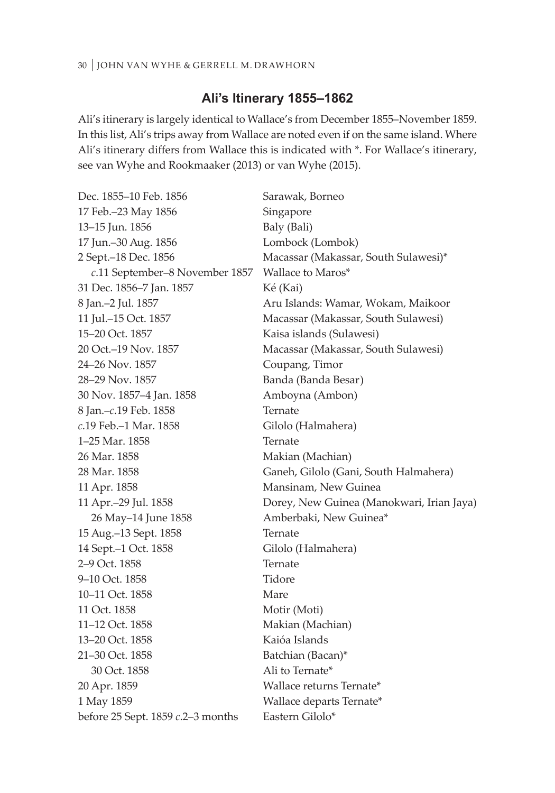# **Ali's Itinerary 1855–1862**

Ali's itinerary is largely identical to Wallace's from December 1855–November 1859. In this list, Ali's trips away from Wallace are noted even if on the same island. Where Ali's itinerary differs from Wallace this is indicated with \*. For Wallace's itinerary, see van Wyhe and Rookmaaker (2013) or van Wyhe (2015).

| Dec. 1855-10 Feb. 1856            | Sarawak, Borneo                           |
|-----------------------------------|-------------------------------------------|
| 17 Feb.-23 May 1856               | Singapore                                 |
| 13-15 Jun. 1856                   | Baly (Bali)                               |
| 17 Jun.-30 Aug. 1856              | Lombock (Lombok)                          |
| 2 Sept. - 18 Dec. 1856            | Macassar (Makassar, South Sulawesi)*      |
| c.11 September-8 November 1857    | Wallace to Maros*                         |
| 31 Dec. 1856–7 Jan. 1857          | Ké (Kai)                                  |
| 8 Jan.-2 Jul. 1857                | Aru Islands: Wamar, Wokam, Maikoor        |
| 11 Jul.-15 Oct. 1857              | Macassar (Makassar, South Sulawesi)       |
| 15-20 Oct. 1857                   | Kaisa islands (Sulawesi)                  |
| 20 Oct.–19 Nov. 1857              | Macassar (Makassar, South Sulawesi)       |
| 24-26 Nov. 1857                   | Coupang, Timor                            |
| 28–29 Nov. 1857                   | Banda (Banda Besar)                       |
| 30 Nov. 1857-4 Jan. 1858          | Amboyna (Ambon)                           |
| 8 Jan.-c.19 Feb. 1858             | Ternate                                   |
| c.19 Feb.-1 Mar. 1858             | Gilolo (Halmahera)                        |
| 1–25 Mar. 1858                    | Ternate                                   |
| 26 Mar. 1858                      | Makian (Machian)                          |
| 28 Mar. 1858                      | Ganeh, Gilolo (Gani, South Halmahera)     |
| 11 Apr. 1858                      | Mansinam, New Guinea                      |
| 11 Apr.–29 Jul. 1858              | Dorey, New Guinea (Manokwari, Irian Jaya) |
| 26 May-14 June 1858               | Amberbaki, New Guinea*                    |
| 15 Aug.-13 Sept. 1858             | Ternate                                   |
| 14 Sept.-1 Oct. 1858              | Gilolo (Halmahera)                        |
| 2–9 Oct. 1858                     | Ternate                                   |
| 9-10 Oct. 1858                    | Tidore                                    |
| 10-11 Oct. 1858                   | Mare                                      |
| 11 Oct. 1858                      | Motir (Moti)                              |
| 11-12 Oct. 1858                   | Makian (Machian)                          |
| 13-20 Oct. 1858                   | Kaióa Islands                             |
| 21-30 Oct. 1858                   | Batchian (Bacan)*                         |
| 30 Oct. 1858                      | Ali to Ternate*                           |
| 20 Apr. 1859                      | Wallace returns Ternate*                  |
| 1 May 1859                        | Wallace departs Ternate*                  |
| before 25 Sept. 1859 c.2-3 months | Eastern Gilolo*                           |